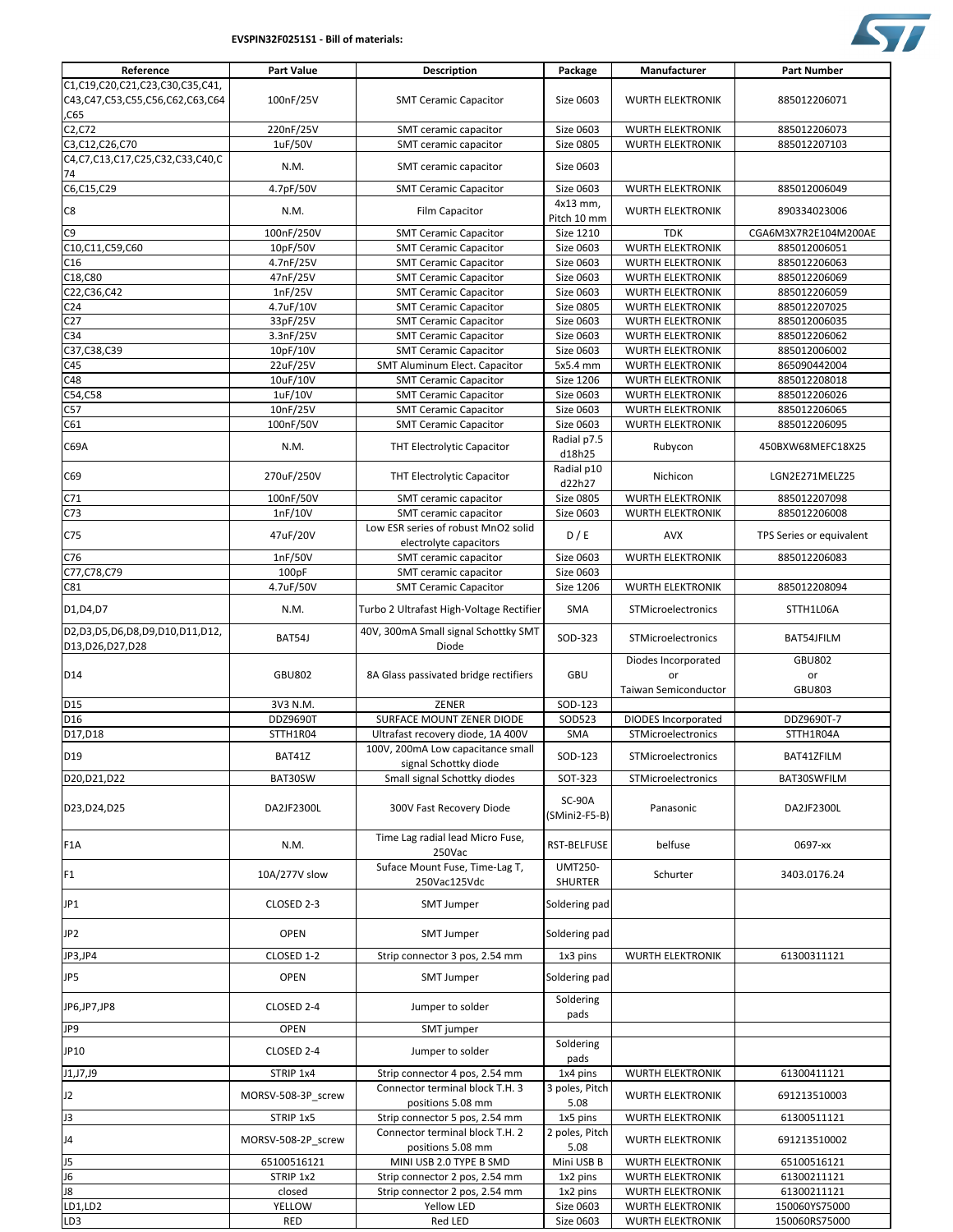## **EVSPIN32F0251S1 - Bill of materials:**



| Reference                                                                         | <b>Part Value</b>     | <b>Description</b>                                            | Package                          | Manufacturer                                             | <b>Part Number</b>                   |
|-----------------------------------------------------------------------------------|-----------------------|---------------------------------------------------------------|----------------------------------|----------------------------------------------------------|--------------------------------------|
| C1,C19,C20,C21,C23,C30,C35,C41,<br>C43, C47, C53, C55, C56, C62, C63, C64<br>,C65 | 100nF/25V             | <b>SMT Ceramic Capacitor</b>                                  | Size 0603                        | <b>WURTH ELEKTRONIK</b>                                  | 885012206071                         |
| C2, C72                                                                           | 220nF/25V             | SMT ceramic capacitor                                         | Size 0603                        | <b>WURTH ELEKTRONIK</b>                                  | 885012206073                         |
| C3, C12, C26, C70                                                                 | 1uF/50V               | SMT ceramic capacitor                                         | <b>Size 0805</b>                 | <b>WURTH ELEKTRONIK</b>                                  | 885012207103                         |
| C4, C7, C13, C17, C25, C32, C33, C40, C<br>74                                     | N.M.                  | SMT ceramic capacitor                                         | Size 0603                        |                                                          |                                      |
| C6, C15, C29                                                                      | 4.7pF/50V             | <b>SMT Ceramic Capacitor</b>                                  | Size 0603                        | <b>WURTH ELEKTRONIK</b>                                  | 885012006049                         |
| C8                                                                                | N.M.                  | Film Capacitor                                                | 4x13 mm,<br>Pitch 10 mm          | <b>WURTH ELEKTRONIK</b>                                  | 890334023006                         |
| C <sub>9</sub>                                                                    | 100nF/250V            | <b>SMT Ceramic Capacitor</b>                                  | Size 1210                        | <b>TDK</b>                                               | CGA6M3X7R2E104M200AE                 |
| C10,C11,C59,C60                                                                   | 10pF/50V              | <b>SMT Ceramic Capacitor</b>                                  | Size 0603                        | <b>WURTH ELEKTRONIK</b>                                  | 885012006051                         |
| C16<br>C18,C80                                                                    | 4.7nF/25V             | <b>SMT Ceramic Capacitor</b><br><b>SMT Ceramic Capacitor</b>  | Size 0603<br>Size 0603           | <b>WURTH ELEKTRONIK</b><br><b>WURTH ELEKTRONIK</b>       | 885012206063<br>885012206069         |
| C22, C36, C42                                                                     | 47nF/25V<br>1nF/25V   | <b>SMT Ceramic Capacitor</b>                                  | Size 0603                        | <b>WURTH ELEKTRONIK</b>                                  | 885012206059                         |
| C <sub>24</sub>                                                                   | 4.7uF/10V             | <b>SMT Ceramic Capacitor</b>                                  | <b>Size 0805</b>                 | <b>WURTH ELEKTRONIK</b>                                  | 885012207025                         |
| C <sub>27</sub>                                                                   | 33pF/25V              | <b>SMT Ceramic Capacitor</b>                                  | Size 0603                        | <b>WURTH ELEKTRONIK</b>                                  | 885012006035                         |
| C34                                                                               | 3.3nF/25V             | <b>SMT Ceramic Capacitor</b>                                  | Size 0603                        | <b>WURTH ELEKTRONIK</b>                                  | 885012206062                         |
| C37, C38, C39                                                                     | 10pF/10V              | <b>SMT Ceramic Capacitor</b>                                  | Size 0603                        | <b>WURTH ELEKTRONIK</b>                                  | 885012006002                         |
| C45                                                                               | 22uF/25V              | <b>SMT Aluminum Elect. Capacitor</b>                          | 5x5.4 mm                         | <b>WURTH ELEKTRONIK</b>                                  | 865090442004                         |
| C48                                                                               | 10uF/10V              | <b>SMT Ceramic Capacitor</b>                                  | Size 1206                        | <b>WURTH ELEKTRONIK</b>                                  | 885012208018                         |
| C54, C58                                                                          | 1uF/10V               | <b>SMT Ceramic Capacitor</b>                                  | Size 0603                        | <b>WURTH ELEKTRONIK</b>                                  | 885012206026                         |
| C57<br>C61                                                                        | 10nF/25V<br>100nF/50V | <b>SMT Ceramic Capacitor</b><br><b>SMT Ceramic Capacitor</b>  | Size 0603<br>Size 0603           | <b>WURTH ELEKTRONIK</b><br><b>WURTH ELEKTRONIK</b>       | 885012206065<br>885012206095         |
| C69A                                                                              | N.M.                  | THT Electrolytic Capacitor                                    | Radial p7.5                      | Rubycon                                                  | 450BXW68MEFC18X25                    |
| C69                                                                               | 270uF/250V            | THT Electrolytic Capacitor                                    | d18h25<br>Radial p10             | Nichicon                                                 | LGN2E271MELZ25                       |
|                                                                                   |                       |                                                               | d22h27<br>Size 0805              | <b>WURTH ELEKTRONIK</b>                                  | 885012207098                         |
| C71<br>C <sub>73</sub>                                                            | 100nF/50V<br>1nF/10V  | SMT ceramic capacitor<br>SMT ceramic capacitor                | Size 0603                        | <b>WURTH ELEKTRONIK</b>                                  | 885012206008                         |
| C75                                                                               | 47uF/20V              | Low ESR series of robust MnO2 solid<br>electrolyte capacitors | D/E                              | <b>AVX</b>                                               | TPS Series or equivalent             |
| C76                                                                               | 1nF/50V               | SMT ceramic capacitor                                         | Size 0603                        | <b>WURTH ELEKTRONIK</b>                                  | 885012206083                         |
| C77, C78, C79                                                                     | 100pF                 | SMT ceramic capacitor                                         | Size 0603                        |                                                          |                                      |
| C81                                                                               | 4.7uF/50V             | <b>SMT Ceramic Capacitor</b>                                  | Size 1206                        | <b>WURTH ELEKTRONIK</b>                                  | 885012208094                         |
| D1, D4, D7                                                                        | N.M.                  | Turbo 2 Ultrafast High-Voltage Rectifier                      | SMA                              | STMicroelectronics                                       | STTH1L06A                            |
| D2,D3,D5,D6,D8,D9,D10,D11,D12,<br>D13, D26, D27, D28                              | BAT54J                | 40V, 300mA Small signal Schottky SMT<br>Diode                 | SOD-323                          | STMicroelectronics                                       | BAT54JFILM                           |
| D14                                                                               | <b>GBU802</b>         | 8A Glass passivated bridge rectifiers                         | <b>GBU</b>                       | Diodes Incorporated<br>or<br><b>Taiwan Semiconductor</b> | <b>GBU802</b><br>or<br><b>GBU803</b> |
| D <sub>15</sub>                                                                   | 3V3 N.M.              | ZENER                                                         | SOD-123                          |                                                          |                                      |
| D <sub>16</sub>                                                                   | <b>DDZ9690T</b>       | SURFACE MOUNT ZENER DIODE                                     | SOD523                           | <b>DIODES Incorporated</b>                               | DDZ9690T-7                           |
| D17, D18                                                                          | STTH1R04              | Ultrafast recovery diode, 1A 400V                             | SMA                              | STMicroelectronics                                       | STTH1R04A                            |
| D <sub>19</sub>                                                                   | BAT41Z                | 100V, 200mA Low capacitance small                             | SOD-123                          | STMicroelectronics                                       | BAT41ZFILM                           |
| D20, D21, D22                                                                     | BAT30SW               | signal Schottky diode<br>Small signal Schottky diodes         | SOT-323                          | STMicroelectronics                                       | BAT30SWFILM                          |
| D23, D24, D25                                                                     | DA2JF2300L            | 300V Fast Recovery Diode                                      | SC-90A<br>$(SMini2-F5-B)$        | Panasonic                                                | DA2JF2300L                           |
| F <sub>1</sub> A                                                                  | N.M.                  | Time Lag radial lead Micro Fuse,<br>250Vac                    | RST-BELFUSE                      | belfuse                                                  | 0697-xx                              |
| F1                                                                                | 10A/277V slow         | Suface Mount Fuse, Time-Lag T,<br>250Vac125Vdc                | <b>UMT250-</b><br><b>SHURTER</b> | Schurter                                                 | 3403.0176.24                         |
| JP1                                                                               | CLOSED 2-3            | <b>SMT Jumper</b>                                             | Soldering pad                    |                                                          |                                      |
| JP <sub>2</sub>                                                                   | <b>OPEN</b>           | <b>SMT Jumper</b>                                             | Soldering pad                    |                                                          |                                      |
| JP3,JP4                                                                           | CLOSED 1-2            | Strip connector 3 pos, 2.54 mm                                | 1x3 pins                         | <b>WURTH ELEKTRONIK</b>                                  | 61300311121                          |
| JP5                                                                               | <b>OPEN</b>           | <b>SMT Jumper</b>                                             | Soldering pad                    |                                                          |                                      |
| JP6,JP7,JP8                                                                       | CLOSED 2-4            | Jumper to solder                                              | Soldering<br>pads                |                                                          |                                      |
| JP9                                                                               | <b>OPEN</b>           | SMT jumper                                                    |                                  |                                                          |                                      |
| JP10                                                                              | CLOSED 2-4            | Jumper to solder                                              | Soldering<br>pads                |                                                          |                                      |
| J1,J7,J9                                                                          | STRIP 1x4             | Strip connector 4 pos, 2.54 mm                                | 1x4 pins                         | <b>WURTH ELEKTRONIK</b>                                  | 61300411121                          |
| J2                                                                                | MORSV-508-3P_screw    | Connector terminal block T.H. 3<br>positions 5.08 mm          | 3 poles, Pitch<br>5.08           | WURTH ELEKTRONIK                                         | 691213510003                         |
| J3                                                                                | STRIP 1x5             | Strip connector 5 pos, 2.54 mm                                | 1x5 pins                         | <b>WURTH ELEKTRONIK</b>                                  | 61300511121                          |
| J4                                                                                | MORSV-508-2P_screw    | Connector terminal block T.H. 2<br>positions 5.08 mm          | 2 poles, Pitch<br>5.08           | WURTH ELEKTRONIK                                         | 691213510002                         |
| J5                                                                                | 65100516121           | MINI USB 2.0 TYPE B SMD                                       | Mini USB B                       | <b>WURTH ELEKTRONIK</b>                                  | 65100516121                          |
| J6                                                                                | STRIP 1x2             | Strip connector 2 pos, 2.54 mm                                | 1x2 pins                         | WURTH ELEKTRONIK                                         | 61300211121                          |
| J8                                                                                | closed                | Strip connector 2 pos, 2.54 mm                                | 1x2 pins                         | WURTH ELEKTRONIK                                         | 61300211121                          |
| LD1,LD2                                                                           | <b>YELLOW</b>         | Yellow LED                                                    | Size 0603                        | <b>WURTH ELEKTRONIK</b>                                  | 150060YS75000                        |
| LD3                                                                               | <b>RED</b>            | Red LED                                                       | Size 0603                        | <b>WURTH ELEKTRONIK</b>                                  | 150060RS75000                        |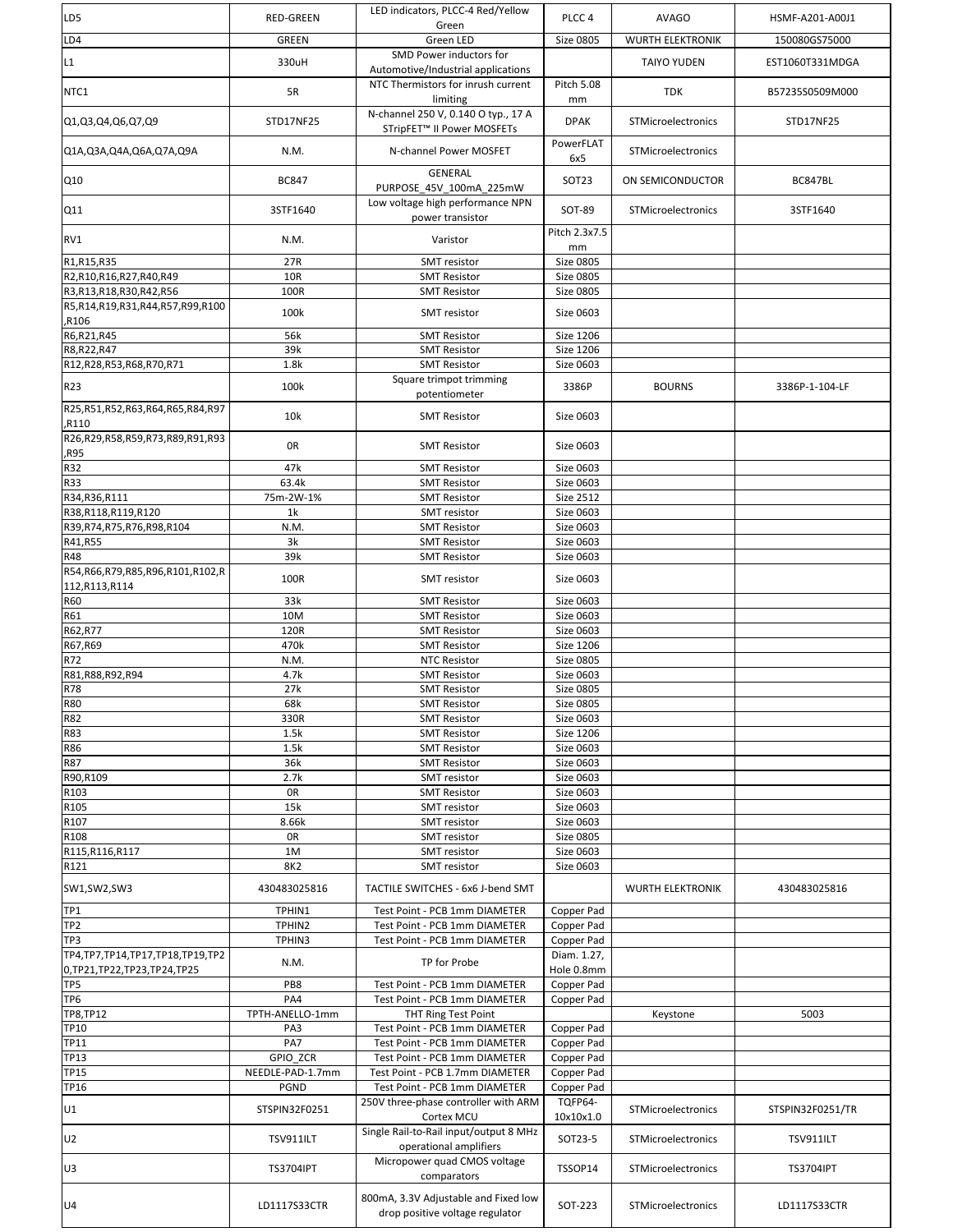| LD5                                      | <b>RED-GREEN</b>             | LED indicators, PLCC-4 Red/Yellow<br>Green                                    | PLCC <sub>4</sub>         | <b>AVAGO</b>            | HSMF-A201-A00J1  |
|------------------------------------------|------------------------------|-------------------------------------------------------------------------------|---------------------------|-------------------------|------------------|
| LD4                                      | <b>GREEN</b>                 | Green LED                                                                     | <b>Size 0805</b>          | <b>WURTH ELEKTRONIK</b> | 150080GS75000    |
| L1                                       | 330uH                        | SMD Power inductors for<br>Automotive/Industrial applications                 |                           | <b>TAIYO YUDEN</b>      | EST1060T331MDGA  |
| NTC1                                     | 5R                           | NTC Thermistors for inrush current<br>limiting                                | Pitch 5.08<br>mm          | <b>TDK</b>              | B57235S0509M000  |
| Q1,Q3,Q4,Q6,Q7,Q9                        | STD17NF25                    | N-channel 250 V, 0.140 O typ., 17 A<br>STripFET <sup>™</sup> II Power MOSFETs | <b>DPAK</b>               | STMicroelectronics      | STD17NF25        |
| Q1A, Q3A, Q4A, Q6A, Q7A, Q9A             | N.M.                         | N-channel Power MOSFET                                                        | PowerFLAT<br>6x5          | STMicroelectronics      |                  |
| Q10                                      | <b>BC847</b>                 | <b>GENERAL</b><br>PURPOSE 45V 100mA 225mW                                     | SOT <sub>23</sub>         | ON SEMICONDUCTOR        | BC847BL          |
| Q11                                      | 3STF1640                     | Low voltage high performance NPN<br>power transistor                          | SOT-89                    | STMicroelectronics      | 3STF1640         |
| RV1                                      | N.M.                         | Varistor                                                                      | Pitch 2.3x7.5<br>mm       |                         |                  |
| R1,R15,R35                               | 27R                          | <b>SMT</b> resistor                                                           | Size 0805                 |                         |                  |
| R2,R10,R16,R27,R40,R49                   | <b>10R</b>                   | <b>SMT Resistor</b>                                                           | Size 0805                 |                         |                  |
| R3,R13,R18,R30,R42,R56                   | 100R                         | <b>SMT Resistor</b>                                                           | <b>Size 0805</b>          |                         |                  |
| R5,R14,R19,R31,R44,R57,R99,R100<br>R106, | 100k                         | <b>SMT</b> resistor                                                           | Size 0603                 |                         |                  |
| R6,R21,R45                               | 56k                          | <b>SMT Resistor</b>                                                           | Size 1206                 |                         |                  |
| R8, R22, R47                             | 39k<br>1.8k                  | <b>SMT Resistor</b><br><b>SMT Resistor</b>                                    | Size 1206<br>Size 0603    |                         |                  |
| R12,R28,R53,R68,R70,R71                  |                              | Square trimpot trimming                                                       |                           |                         |                  |
| R23                                      | 100k                         | potentiometer                                                                 | 3386P                     | <b>BOURNS</b>           | 3386P-1-104-LF   |
| R25,R51,R52,R63,R64,R65,R84,R97<br>R110  | 10k                          | <b>SMT Resistor</b>                                                           | Size 0603                 |                         |                  |
| R26,R29,R58,R59,R73,R89,R91,R93<br>R95,  | 0R                           | <b>SMT Resistor</b>                                                           | Size 0603                 |                         |                  |
| <b>R32</b>                               | 47k                          | <b>SMT Resistor</b>                                                           | Size 0603                 |                         |                  |
| R33                                      | 63.4k                        | <b>SMT Resistor</b>                                                           | Size 0603                 |                         |                  |
| R34, R36, R111                           | 75m-2W-1%                    | <b>SMT Resistor</b>                                                           | Size 2512                 |                         |                  |
| R38,R118,R119,R120                       | 1 <sup>k</sup>               | <b>SMT</b> resistor                                                           | Size 0603                 |                         |                  |
| R39, R74, R75, R76, R98, R104            | N.M.                         | <b>SMT Resistor</b>                                                           | Size 0603                 |                         |                  |
| R41,R55<br>R48                           | 3k<br>39k                    | <b>SMT Resistor</b><br><b>SMT Resistor</b>                                    | Size 0603<br>Size 0603    |                         |                  |
| R54,R66,R79,R85,R96,R101,R102,R          | 100R                         | <b>SMT</b> resistor                                                           | Size 0603                 |                         |                  |
| 112,R113,R114<br><b>R60</b>              | 33k                          | <b>SMT Resistor</b>                                                           | Size 0603                 |                         |                  |
| R61                                      | 10M                          | <b>SMT Resistor</b>                                                           | Size 0603                 |                         |                  |
| R62,R77                                  | 120R                         | <b>SMT Resistor</b>                                                           | Size 0603                 |                         |                  |
| R67,R69                                  | 470k                         | <b>SMT Resistor</b>                                                           | Size 1206                 |                         |                  |
| R72<br>R81, R88, R92, R94                | N.M.<br>4.7k                 | <b>NTC Resistor</b><br><b>SMT Resistor</b>                                    | Size 0805<br>Size 0603    |                         |                  |
| <b>R78</b>                               | 27k                          | <b>SMT Resistor</b>                                                           | Size 0805                 |                         |                  |
| <b>R80</b>                               | 68k                          | <b>SMT Resistor</b>                                                           | Size 0805                 |                         |                  |
| <b>R82</b>                               | 330R                         | <b>SMT Resistor</b>                                                           | Size 0603                 |                         |                  |
| R83                                      | 1.5k                         | <b>SMT Resistor</b>                                                           | Size 1206                 |                         |                  |
| R86                                      | 1.5k                         | <b>SMT Resistor</b>                                                           | Size 0603                 |                         |                  |
| <b>R87</b>                               | 36k                          | <b>SMT Resistor</b>                                                           | Size 0603                 |                         |                  |
| R90,R109                                 | 2.7k                         | SMT resistor                                                                  | Size 0603                 |                         |                  |
| R103                                     | 0R                           | <b>SMT Resistor</b>                                                           | Size 0603                 |                         |                  |
| R105                                     | 15k                          | SMT resistor                                                                  | Size 0603                 |                         |                  |
| R107<br>R108                             | 8.66k<br>0R                  | <b>SMT</b> resistor<br>SMT resistor                                           | Size 0603<br>Size 0805    |                         |                  |
| R115, R116, R117                         | 1M                           | SMT resistor                                                                  | Size 0603                 |                         |                  |
| R121                                     | <b>8K2</b>                   | SMT resistor                                                                  | Size 0603                 |                         |                  |
| SW1, SW2, SW3                            | 430483025816                 | TACTILE SWITCHES - 6x6 J-bend SMT                                             |                           | <b>WURTH ELEKTRONIK</b> | 430483025816     |
| TP1                                      | TPHIN1                       | Test Point - PCB 1mm DIAMETER                                                 | Copper Pad                |                         |                  |
| TP <sub>2</sub>                          | TPHIN2                       | Test Point - PCB 1mm DIAMETER                                                 | Copper Pad                |                         |                  |
| TP3<br>TP4,TP7,TP14,TP17,TP18,TP19,TP2   | TPHIN3                       | Test Point - PCB 1mm DIAMETER                                                 | Copper Pad<br>Diam. 1.27, |                         |                  |
| 0, TP21, TP22, TP23, TP24, TP25          | N.M.                         | TP for Probe                                                                  | Hole 0.8mm                |                         |                  |
| TP <sub>5</sub>                          | PB8                          | Test Point - PCB 1mm DIAMETER                                                 | Copper Pad                |                         |                  |
| TP <sub>6</sub>                          | PA4                          | Test Point - PCB 1mm DIAMETER                                                 | Copper Pad                |                         |                  |
| <b>TP8,TP12</b>                          | TPTH-ANELLO-1mm              | THT Ring Test Point                                                           |                           | Keystone                | 5003             |
| <b>TP10</b>                              | PA3                          | Test Point - PCB 1mm DIAMETER                                                 | Copper Pad                |                         |                  |
| <b>TP11</b>                              | PA7                          | Test Point - PCB 1mm DIAMETER                                                 | Copper Pad                |                         |                  |
| TP13                                     | <b>GPIO ZCR</b>              | Test Point - PCB 1mm DIAMETER                                                 | Copper Pad                |                         |                  |
| <b>TP15</b>                              | NEEDLE-PAD-1.7mm             | Test Point - PCB 1.7mm DIAMETER                                               | Copper Pad                |                         |                  |
| <b>TP16</b><br>U1                        | <b>PGND</b><br>STSPIN32F0251 | Test Point - PCB 1mm DIAMETER<br>250V three-phase controller with ARM         | Copper Pad<br>TQFP64-     | STMicroelectronics      | STSPIN32F0251/TR |
|                                          |                              | Cortex MCU<br>Single Rail-to-Rail input/output 8 MHz                          | 10x10x1.0                 |                         |                  |
| U <sub>2</sub>                           | <b>TSV911ILT</b>             | operational amplifiers<br>Micropower quad CMOS voltage                        | SOT23-5                   | STMicroelectronics      | TSV911ILT        |
| U <sub>3</sub>                           | <b>TS3704IPT</b>             | comparators                                                                   | TSSOP14                   | STMicroelectronics      | <b>TS3704IPT</b> |
| U <sub>4</sub>                           | LD1117S33CTR                 | 800mA, 3.3V Adjustable and Fixed low<br>drop positive voltage regulator       | SOT-223                   | STMicroelectronics      | LD1117S33CTR     |